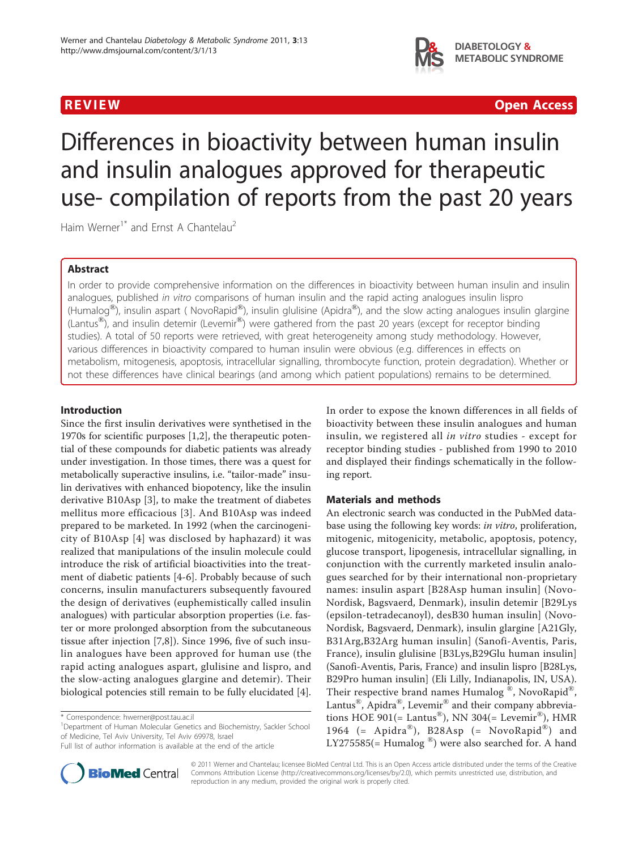

**REVIEW CONSTRUCTION CONSTRUCTS** IN A REVIEW CONSTRUCT OF A REVIEW OPEN Access of  $\mathbf{Q}$ 

# Differences in bioactivity between human insulin and insulin analogues approved for therapeutic use- compilation of reports from the past 20 years

Haim Werner<sup>1\*</sup> and Frnst A Chantelau<sup>2</sup>

# Abstract

In order to provide comprehensive information on the differences in bioactivity between human insulin and insulin analogues, published in vitro comparisons of human insulin and the rapid acting analogues insulin lispro (Humalog<sup>®</sup>), insulin aspart ( NovoRapid<sup>®</sup>), insulin glulisine (Apidra<sup>®</sup>), and the slow acting analogues insulin glargine (Lantus<sup>®</sup>), and insulin detemir (Levemir<sup>®</sup>) were gathered from the past 20 years (except for receptor binding studies). A total of 50 reports were retrieved, with great heterogeneity among study methodology. However, various differences in bioactivity compared to human insulin were obvious (e.g. differences in effects on metabolism, mitogenesis, apoptosis, intracellular signalling, thrombocyte function, protein degradation). Whether or not these differences have clinical bearings (and among which patient populations) remains to be determined.

### Introduction

Since the first insulin derivatives were synthetised in the 1970s for scientific purposes [[1,2\]](#page-7-0), the therapeutic potential of these compounds for diabetic patients was already under investigation. In those times, there was a quest for metabolically superactive insulins, i.e. "tailor-made" insulin derivatives with enhanced biopotency, like the insulin derivative B10Asp [\[3](#page-7-0)], to make the treatment of diabetes mellitus more efficacious [[3\]](#page-7-0). And B10Asp was indeed prepared to be marketed. In 1992 (when the carcinogenicity of B10Asp [[4](#page-7-0)] was disclosed by haphazard) it was realized that manipulations of the insulin molecule could introduce the risk of artificial bioactivities into the treatment of diabetic patients [\[4](#page-7-0)-[6\]](#page-7-0). Probably because of such concerns, insulin manufacturers subsequently favoured the design of derivatives (euphemistically called insulin analogues) with particular absorption properties (i.e. faster or more prolonged absorption from the subcutaneous tissue after injection [\[7](#page-8-0),[8](#page-8-0)]). Since 1996, five of such insulin analogues have been approved for human use (the rapid acting analogues aspart, glulisine and lispro, and the slow-acting analogues glargine and detemir). Their biological potencies still remain to be fully elucidated [\[4](#page-7-0)].

<sup>1</sup>Department of Human Molecular Genetics and Biochemistry, Sackler School of Medicine, Tel Aviv University, Tel Aviv 69978, Israel



# Materials and methods

An electronic search was conducted in the PubMed database using the following key words: in vitro, proliferation, mitogenic, mitogenicity, metabolic, apoptosis, potency, glucose transport, lipogenesis, intracellular signalling, in conjunction with the currently marketed insulin analogues searched for by their international non-proprietary names: insulin aspart [B28Asp human insulin] (Novo-Nordisk, Bagsvaerd, Denmark), insulin detemir [B29Lys (epsilon-tetradecanoyl), desB30 human insulin] (Novo-Nordisk, Bagsvaerd, Denmark), insulin glargine [A21Gly, B31Arg,B32Arg human insulin] (Sanofi-Aventis, Paris, France), insulin glulisine [B3Lys,B29Glu human insulin] (Sanofi-Aventis, Paris, France) and insulin lispro [B28Lys, B29Pro human insulin] (Eli Lilly, Indianapolis, IN, USA). Their respective brand names Humalog ®, NovoRapid®, Lantus®, Apidra®, Levemir® and their company abbreviations HOE 901(= Lantus<sup>®</sup>), NN 304(= Levemir<sup>®</sup>), HMR 1964 (= Apidra®), B28Asp (= NovoRapid®) and LY275585(= Humalog  $\textcircled{\tiny{\textcirc}}$ ) were also searched for. A hand



© 2011 Werner and Chantelau; licensee BioMed Central Ltd. This is an Open Access article distributed under the terms of the Creative Commons Attribution License [\(http://creativecommons.org/licenses/by/2.0](http://creativecommons.org/licenses/by/2.0)), which permits unrestricted use, distribution, and reproduction in any medium, provided the original work is properly cited.

<sup>\*</sup> Correspondence: [hwerner@post.tau.ac.il](mailto:hwerner@post.tau.ac.il)

Full list of author information is available at the end of the article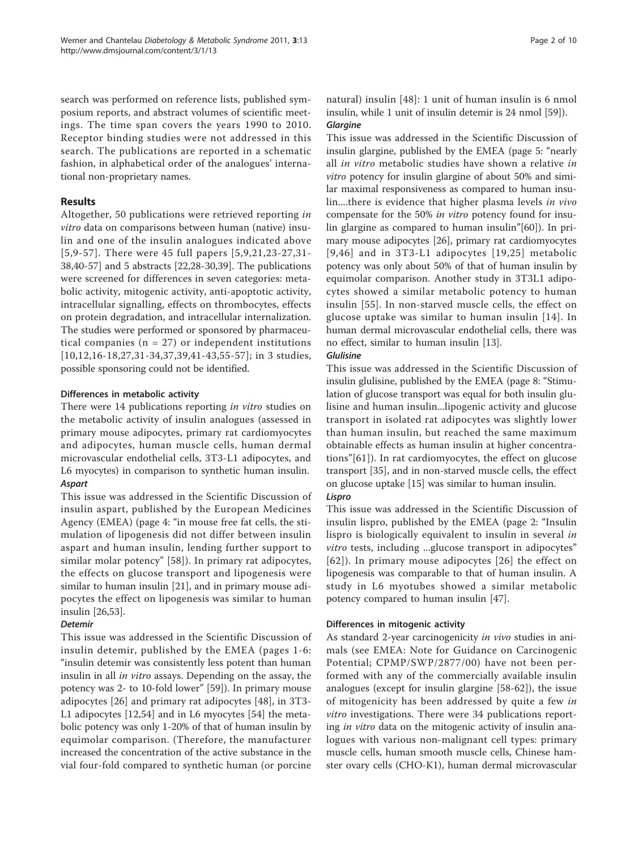search was performed on reference lists, published symposium reports, and abstract volumes of scientific meetings. The time span covers the years 1990 to 2010. Receptor binding studies were not addressed in this search. The publications are reported in a schematic fashion, in alphabetical order of the analogues' international non-proprietary names.

## Results

Altogether, 50 publications were retrieved reporting in vitro data on comparisons between human (native) insulin and one of the insulin analogues indicated above [[5,](#page-7-0)[9-](#page-8-0)[57](#page-9-0)]. There were 45 full papers [[5,](#page-7-0)[9,21,23](#page-8-0)-[27,31-](#page-8-0) [38,40-](#page-8-0)[57](#page-9-0)] and 5 abstracts [[22,28-30,39](#page-8-0)]. The publications were screened for differences in seven categories: metabolic activity, mitogenic activity, anti-apoptotic activity, intracellular signalling, effects on thrombocytes, effects on protein degradation, and intracellular internalization. The studies were performed or sponsored by pharmaceutical companies ( $n = 27$ ) or independent institutions [[10](#page-8-0),[12](#page-8-0),[16-18](#page-8-0),[27,31-34,37,39,41](#page-8-0)-[43,](#page-8-0)[55](#page-9-0)-[57\]](#page-9-0); in 3 studies, possible sponsoring could not be identified.

### Differences in metabolic activity

There were 14 publications reporting *in vitro* studies on the metabolic activity of insulin analogues (assessed in primary mouse adipocytes, primary rat cardiomyocytes and adipocytes, human muscle cells, human dermal microvascular endothelial cells, 3T3-L1 adipocytes, and L6 myocytes) in comparison to synthetic human insulin.

This issue was addressed in the Scientific Discussion of insulin aspart, published by the European Medicines Agency (EMEA) (page 4: "in mouse free fat cells, the stimulation of lipogenesis did not differ between insulin aspart and human insulin, lending further support to similar molar potency" [\[58](#page-9-0)]). In primary rat adipocytes, the effects on glucose transport and lipogenesis were similar to human insulin [[21](#page-8-0)], and in primary mouse adipocytes the effect on lipogenesis was similar to human insulin [\[26,](#page-8-0)[53\]](#page-9-0).

### **Detemir**

- -------<br>This issue was addressed in the Scientific Discussion of insulin detemir, published by the EMEA (pages 1-6: "insulin detemir was consistently less potent than human insulin in all in vitro assays. Depending on the assay, the potency was 2- to 10-fold lower" [\[59\]](#page-9-0)). In primary mouse adipocytes [[26\]](#page-8-0) and primary rat adipocytes [[48\]](#page-8-0), in 3T3- L1 adipocytes [[12](#page-8-0),[54\]](#page-9-0) and in L6 myocytes [[54\]](#page-9-0) the metabolic potency was only 1-20% of that of human insulin by equimolar comparison. (Therefore, the manufacturer increased the concentration of the active substance in the vial four-fold compared to synthetic human (or porcine

# natural) insulin [\[48\]](#page-8-0): 1 unit of human insulin is 6 nmol insulin, while 1 unit of insulin detemir is 24 nmol [[59](#page-9-0)]).

This issue was addressed in the Scientific Discussion of insulin glargine, published by the EMEA (page 5: "nearly all in vitro metabolic studies have shown a relative in vitro potency for insulin glargine of about 50% and similar maximal responsiveness as compared to human insulin....there is evidence that higher plasma levels in vivo compensate for the 50% in vitro potency found for insulin glargine as compared to human insulin"[\[60](#page-9-0)]). In primary mouse adipocytes [[26](#page-8-0)], primary rat cardiomyocytes [[9,46](#page-8-0)] and in 3T3-L1 adipocytes [[19](#page-8-0),[25\]](#page-8-0) metabolic potency was only about 50% of that of human insulin by equimolar comparison. Another study in 3T3L1 adipocytes showed a similar metabolic potency to human insulin [\[55\]](#page-9-0). In non-starved muscle cells, the effect on glucose uptake was similar to human insulin [[14](#page-8-0)]. In human dermal microvascular endothelial cells, there was no effect, similar to human insulin [[13](#page-8-0)].

# Glulisine

This issue was addressed in the Scientific Discussion of insulin glulisine, published by the EMEA (page 8: "Stimulation of glucose transport was equal for both insulin glulisine and human insulin...lipogenic activity and glucose transport in isolated rat adipocytes was slightly lower than human insulin, but reached the same maximum obtainable effects as human insulin at higher concentrations"[[61\]](#page-9-0)). In rat cardiomyocytes, the effect on glucose transport [\[35](#page-8-0)], and in non-starved muscle cells, the effect on glucose uptake [[15\]](#page-8-0) was similar to human insulin.

This issue was addressed in the Scientific Discussion of insulin lispro, published by the EMEA (page 2: "Insulin lispro is biologically equivalent to insulin in several in vitro tests, including ...glucose transport in adipocytes" [[62\]](#page-9-0)). In primary mouse adipocytes [[26](#page-8-0)] the effect on lipogenesis was comparable to that of human insulin. A study in L6 myotubes showed a similar metabolic potency compared to human insulin [[47](#page-8-0)].

# Differences in mitogenic activity

As standard 2-year carcinogenicity in vivo studies in animals (see EMEA: Note for Guidance on Carcinogenic Potential; CPMP/SWP/2877/00) have not been performed with any of the commercially available insulin analogues (except for insulin glargine [[58-62](#page-9-0)]), the issue of mitogenicity has been addressed by quite a few *in* vitro investigations. There were 34 publications reporting in vitro data on the mitogenic activity of insulin analogues with various non-malignant cell types: primary muscle cells, human smooth muscle cells, Chinese hamster ovary cells (CHO-K1), human dermal microvascular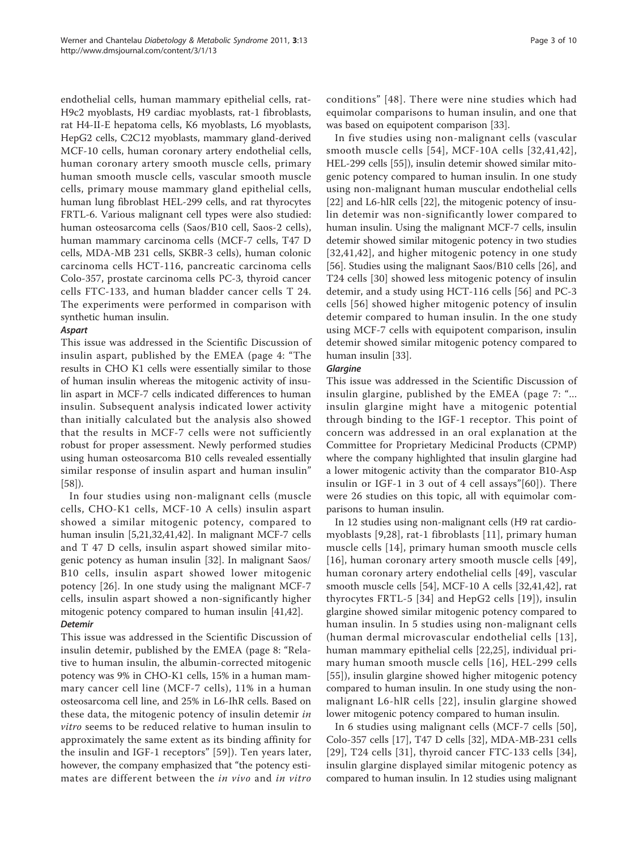endothelial cells, human mammary epithelial cells, rat-H9c2 myoblasts, H9 cardiac myoblasts, rat-1 fibroblasts, rat H4-II-E hepatoma cells, K6 myoblasts, L6 myoblasts, HepG2 cells, C2C12 myoblasts, mammary gland-derived MCF-10 cells, human coronary artery endothelial cells, human coronary artery smooth muscle cells, primary human smooth muscle cells, vascular smooth muscle cells, primary mouse mammary gland epithelial cells, human lung fibroblast HEL-299 cells, and rat thyrocytes FRTL-6. Various malignant cell types were also studied: human osteosarcoma cells (Saos/B10 cell, Saos-2 cells), human mammary carcinoma cells (MCF-7 cells, T47 D cells, MDA-MB 231 cells, SKBR-3 cells), human colonic carcinoma cells HCT-116, pancreatic carcinoma cells Colo-357, prostate carcinoma cells PC-3, thyroid cancer cells FTC-133, and human bladder cancer cells T 24. The experiments were performed in comparison with synthetic human insulin.

This issue was addressed in the Scientific Discussion of insulin aspart, published by the EMEA (page 4: "The results in CHO K1 cells were essentially similar to those of human insulin whereas the mitogenic activity of insulin aspart in MCF-7 cells indicated differences to human insulin. Subsequent analysis indicated lower activity than initially calculated but the analysis also showed that the results in MCF-7 cells were not sufficiently robust for proper assessment. Newly performed studies using human osteosarcoma B10 cells revealed essentially similar response of insulin aspart and human insulin" [[58\]](#page-9-0)).

In four studies using non-malignant cells (muscle cells, CHO-K1 cells, MCF-10 A cells) insulin aspart showed a similar mitogenic potency, compared to human insulin [[5,](#page-7-0)[21,32,41,42](#page-8-0)]. In malignant MCF-7 cells and T 47 D cells, insulin aspart showed similar mitogenic potency as human insulin [\[32\]](#page-8-0). In malignant Saos/ B10 cells, insulin aspart showed lower mitogenic potency [\[26\]](#page-8-0). In one study using the malignant MCF-7 cells, insulin aspart showed a non-significantly higher mitogenic potency compared to human insulin [\[41,42\]](#page-8-0).

# **Detemir**

- -------<br>This issue was addressed in the Scientific Discussion of insulin detemir, published by the EMEA (page 8: "Relative to human insulin, the albumin-corrected mitogenic potency was 9% in CHO-K1 cells, 15% in a human mammary cancer cell line (MCF-7 cells), 11% in a human osteosarcoma cell line, and 25% in L6-IhR cells. Based on these data, the mitogenic potency of insulin detemir in vitro seems to be reduced relative to human insulin to approximately the same extent as its binding affinity for the insulin and IGF-1 receptors" [[59](#page-9-0)]). Ten years later, however, the company emphasized that "the potency estimates are different between the in vivo and in vitro conditions" [[48](#page-8-0)]. There were nine studies which had equimolar comparisons to human insulin, and one that was based on equipotent comparison [\[33\]](#page-8-0).

In five studies using non-malignant cells (vascular smooth muscle cells [[54\]](#page-9-0), MCF-10A cells [[32](#page-8-0),[41,42\]](#page-8-0), HEL-299 cells [[55](#page-9-0)]), insulin detemir showed similar mitogenic potency compared to human insulin. In one study using non-malignant human muscular endothelial cells [[22\]](#page-8-0) and L6-hlR cells [[22](#page-8-0)], the mitogenic potency of insulin detemir was non-significantly lower compared to human insulin. Using the malignant MCF-7 cells, insulin detemir showed similar mitogenic potency in two studies [[32,41](#page-8-0),[42](#page-8-0)], and higher mitogenic potency in one study [[56\]](#page-9-0). Studies using the malignant Saos/B10 cells [[26](#page-8-0)], and T24 cells [[30](#page-8-0)] showed less mitogenic potency of insulin detemir, and a study using HCT-116 cells [[56\]](#page-9-0) and PC-3 cells [[56\]](#page-9-0) showed higher mitogenic potency of insulin detemir compared to human insulin. In the one study using MCF-7 cells with equipotent comparison, insulin detemir showed similar mitogenic potency compared to human insulin [\[33](#page-8-0)].

This issue was addressed in the Scientific Discussion of insulin glargine, published by the EMEA (page 7: "... insulin glargine might have a mitogenic potential through binding to the IGF-1 receptor. This point of concern was addressed in an oral explanation at the Committee for Proprietary Medicinal Products (CPMP) where the company highlighted that insulin glargine had a lower mitogenic activity than the comparator B10-Asp insulin or IGF-1 in 3 out of 4 cell assays"[[60\]](#page-9-0)). There were 26 studies on this topic, all with equimolar comparisons to human insulin.

In 12 studies using non-malignant cells (H9 rat cardiomyoblasts [\[9](#page-8-0),[28\]](#page-8-0), rat-1 fibroblasts [[11](#page-8-0)], primary human muscle cells [[14](#page-8-0)], primary human smooth muscle cells [[16](#page-8-0)], human coronary artery smooth muscle cells [[49\]](#page-9-0), human coronary artery endothelial cells [\[49\]](#page-9-0), vascular smooth muscle cells [[54\]](#page-9-0), MCF-10 A cells [[32](#page-8-0),[41,42\]](#page-8-0), rat thyrocytes FRTL-5 [[34](#page-8-0)] and HepG2 cells [[19](#page-8-0)]), insulin glargine showed similar mitogenic potency compared to human insulin. In 5 studies using non-malignant cells (human dermal microvascular endothelial cells [[13\]](#page-8-0), human mammary epithelial cells [[22,25](#page-8-0)], individual primary human smooth muscle cells [[16](#page-8-0)], HEL-299 cells [[55](#page-9-0)]), insulin glargine showed higher mitogenic potency compared to human insulin. In one study using the nonmalignant L6-hlR cells [[22\]](#page-8-0), insulin glargine showed lower mitogenic potency compared to human insulin.

In 6 studies using malignant cells (MCF-7 cells [[50\]](#page-9-0), Colo-357 cells [\[17\]](#page-8-0), T47 D cells [\[32\]](#page-8-0), MDA-MB-231 cells [[29](#page-8-0)], T24 cells [\[31\]](#page-8-0), thyroid cancer FTC-133 cells [[34](#page-8-0)], insulin glargine displayed similar mitogenic potency as compared to human insulin. In 12 studies using malignant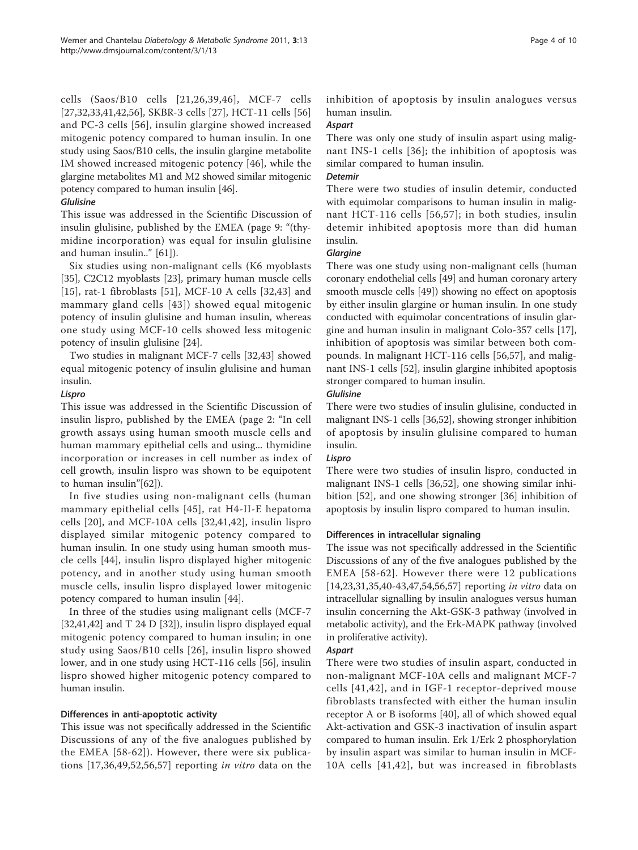cells (Saos/B10 cells [[21,26,39,46\]](#page-8-0), MCF-7 cells [[27,32,33,41,42](#page-8-0)[,56](#page-9-0)], SKBR-3 cells [[27\]](#page-8-0), HCT-11 cells [[56](#page-9-0)] and PC-3 cells [[56](#page-9-0)], insulin glargine showed increased mitogenic potency compared to human insulin. In one study using Saos/B10 cells, the insulin glargine metabolite IM showed increased mitogenic potency [\[46](#page-8-0)], while the glargine metabolites M1 and M2 showed similar mitogenic potency compared to human insulin [\[46\]](#page-8-0).

### Glulisine

This issue was addressed in the Scientific Discussion of insulin glulisine, published by the EMEA (page 9: "(thymidine incorporation) was equal for insulin glulisine and human insulin.." [\[61](#page-9-0)]).

Six studies using non-malignant cells (K6 myoblasts [[35\]](#page-8-0), C2C12 myoblasts [[23\]](#page-8-0), primary human muscle cells [[15](#page-8-0)], rat-1 fibroblasts [\[51](#page-9-0)], MCF-10 A cells [\[32](#page-8-0),[43\]](#page-8-0) and mammary gland cells [[43\]](#page-8-0)) showed equal mitogenic potency of insulin glulisine and human insulin, whereas one study using MCF-10 cells showed less mitogenic potency of insulin glulisine [[24\]](#page-8-0).

Two studies in malignant MCF-7 cells [[32,43](#page-8-0)] showed equal mitogenic potency of insulin glulisine and human insulin.

### Lispro

This issue was addressed in the Scientific Discussion of insulin lispro, published by the EMEA (page 2: "In cell growth assays using human smooth muscle cells and human mammary epithelial cells and using... thymidine incorporation or increases in cell number as index of cell growth, insulin lispro was shown to be equipotent to human insulin"[\[62\]](#page-9-0)).

In five studies using non-malignant cells (human mammary epithelial cells [[45](#page-8-0)], rat H4-II-E hepatoma cells [[20\]](#page-8-0), and MCF-10A cells [[32,41](#page-8-0),[42\]](#page-8-0), insulin lispro displayed similar mitogenic potency compared to human insulin. In one study using human smooth muscle cells [\[44](#page-8-0)], insulin lispro displayed higher mitogenic potency, and in another study using human smooth muscle cells, insulin lispro displayed lower mitogenic potency compared to human insulin [[44](#page-8-0)].

In three of the studies using malignant cells (MCF-7 [[32,41](#page-8-0),[42](#page-8-0)] and T 24 D [32]), insulin lispro displayed equal mitogenic potency compared to human insulin; in one study using Saos/B10 cells [\[26\]](#page-8-0), insulin lispro showed lower, and in one study using HCT-116 cells [\[56\]](#page-9-0), insulin lispro showed higher mitogenic potency compared to human insulin.

### Differences in anti-apoptotic activity

This issue was not specifically addressed in the Scientific Discussions of any of the five analogues published by the EMEA [[58](#page-9-0)-[62](#page-9-0)]). However, there were six publications [\[17,36](#page-8-0)[,49,52,56,57](#page-9-0)] reporting in vitro data on the inhibition of apoptosis by insulin analogues versus human insulin.

# **Aspart**

There was only one study of insulin aspart using malignant INS-1 cells [[36\]](#page-8-0); the inhibition of apoptosis was similar compared to human insulin.

There were two studies of insulin detemir, conducted with equimolar comparisons to human insulin in malignant HCT-116 cells [[56,57\]](#page-9-0); in both studies, insulin detemir inhibited apoptosis more than did human insulin.

There was one study using non-malignant cells (human coronary endothelial cells [\[49\]](#page-9-0) and human coronary artery smooth muscle cells [\[49\]](#page-9-0)) showing no effect on apoptosis by either insulin glargine or human insulin. In one study conducted with equimolar concentrations of insulin glargine and human insulin in malignant Colo-357 cells [\[17](#page-8-0)], inhibition of apoptosis was similar between both compounds. In malignant HCT-116 cells [\[56](#page-9-0),[57\]](#page-9-0), and malignant INS-1 cells [[52\]](#page-9-0), insulin glargine inhibited apoptosis stronger compared to human insulin.

### Glulisine

There were two studies of insulin glulisine, conducted in malignant INS-1 cells [[36](#page-8-0)[,52](#page-9-0)], showing stronger inhibition of apoptosis by insulin glulisine compared to human insulin.

There were two studies of insulin lispro, conducted in malignant INS-1 cells [\[36](#page-8-0)[,52](#page-9-0)], one showing similar inhibition [[52\]](#page-9-0), and one showing stronger [\[36](#page-8-0)] inhibition of apoptosis by insulin lispro compared to human insulin.

# Differences in intracellular signaling

The issue was not specifically addressed in the Scientific Discussions of any of the five analogues published by the EMEA [[58](#page-9-0)-[62\]](#page-9-0). However there were 12 publications [[14,23,31,35,40](#page-8-0)-[43,47,](#page-8-0)[54,56,57\]](#page-9-0) reporting *in vitro* data on intracellular signalling by insulin analogues versus human insulin concerning the Akt-GSK-3 pathway (involved in metabolic activity), and the Erk-MAPK pathway (involved in proliferative activity).

Aspart There were two studies of insulin aspart, conducted in non-malignant MCF-10A cells and malignant MCF-7 cells [[41](#page-8-0),[42\]](#page-8-0), and in IGF-1 receptor-deprived mouse fibroblasts transfected with either the human insulin receptor A or B isoforms [[40\]](#page-8-0), all of which showed equal Akt-activation and GSK-3 inactivation of insulin aspart compared to human insulin. Erk 1/Erk 2 phosphorylation by insulin aspart was similar to human insulin in MCF-10A cells [[41](#page-8-0),[42\]](#page-8-0), but was increased in fibroblasts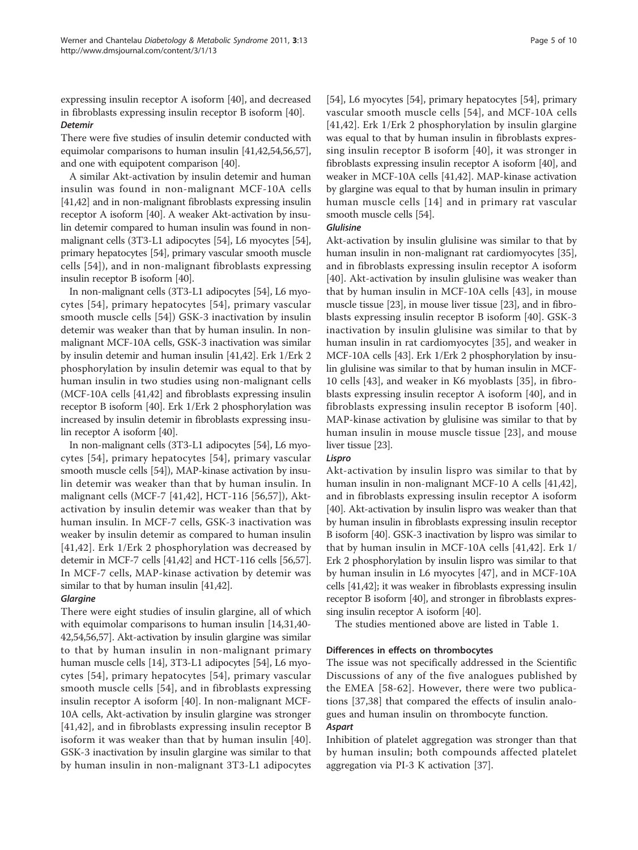expressing insulin receptor A isoform [\[40](#page-8-0)], and decreased in fibroblasts expressing insulin receptor B isoform [[40](#page-8-0)]. Detemir

There were five studies of insulin detemir conducted with equimolar comparisons to human insulin [[41,42](#page-8-0)[,54,56,57](#page-9-0)], and one with equipotent comparison [\[40\]](#page-8-0).

A similar Akt-activation by insulin detemir and human insulin was found in non-malignant MCF-10A cells [[41,42\]](#page-8-0) and in non-malignant fibroblasts expressing insulin receptor A isoform [\[40](#page-8-0)]. A weaker Akt-activation by insulin detemir compared to human insulin was found in nonmalignant cells (3T3-L1 adipocytes [\[54\]](#page-9-0), L6 myocytes [[54](#page-9-0)], primary hepatocytes [\[54\]](#page-9-0), primary vascular smooth muscle cells [[54\]](#page-9-0)), and in non-malignant fibroblasts expressing insulin receptor B isoform [[40](#page-8-0)].

In non-malignant cells (3T3-L1 adipocytes [\[54](#page-9-0)], L6 myocytes [[54](#page-9-0)], primary hepatocytes [[54](#page-9-0)], primary vascular smooth muscle cells [[54\]](#page-9-0)) GSK-3 inactivation by insulin detemir was weaker than that by human insulin. In nonmalignant MCF-10A cells, GSK-3 inactivation was similar by insulin detemir and human insulin [\[41,42\]](#page-8-0). Erk 1/Erk 2 phosphorylation by insulin detemir was equal to that by human insulin in two studies using non-malignant cells (MCF-10A cells [\[41,42\]](#page-8-0) and fibroblasts expressing insulin receptor B isoform [\[40\]](#page-8-0). Erk 1/Erk 2 phosphorylation was increased by insulin detemir in fibroblasts expressing insulin receptor A isoform [\[40\]](#page-8-0).

In non-malignant cells (3T3-L1 adipocytes [\[54](#page-9-0)], L6 myocytes [[54](#page-9-0)], primary hepatocytes [[54](#page-9-0)], primary vascular smooth muscle cells [[54](#page-9-0)]), MAP-kinase activation by insulin detemir was weaker than that by human insulin. In malignant cells (MCF-7 [\[41](#page-8-0),[42\]](#page-8-0), HCT-116 [[56,57\]](#page-9-0)), Aktactivation by insulin detemir was weaker than that by human insulin. In MCF-7 cells, GSK-3 inactivation was weaker by insulin detemir as compared to human insulin [[41](#page-8-0),[42\]](#page-8-0). Erk 1/Erk 2 phosphorylation was decreased by detemir in MCF-7 cells [\[41,42\]](#page-8-0) and HCT-116 cells [\[56,57](#page-9-0)]. In MCF-7 cells, MAP-kinase activation by detemir was similar to that by human insulin [[41,42\]](#page-8-0).

There were eight studies of insulin glargine, all of which with equimolar comparisons to human insulin [\[14,31,40-](#page-8-0) [42](#page-8-0)[,54,56,57](#page-9-0)]. Akt-activation by insulin glargine was similar to that by human insulin in non-malignant primary human muscle cells [\[14](#page-8-0)], 3T3-L1 adipocytes [\[54\]](#page-9-0), L6 myocytes [[54](#page-9-0)], primary hepatocytes [[54](#page-9-0)], primary vascular smooth muscle cells [[54\]](#page-9-0), and in fibroblasts expressing insulin receptor A isoform [\[40](#page-8-0)]. In non-malignant MCF-10A cells, Akt-activation by insulin glargine was stronger [[41,42](#page-8-0)], and in fibroblasts expressing insulin receptor B isoform it was weaker than that by human insulin [[40\]](#page-8-0). GSK-3 inactivation by insulin glargine was similar to that by human insulin in non-malignant 3T3-L1 adipocytes [[54\]](#page-9-0), L6 myocytes [[54](#page-9-0)], primary hepatocytes [[54\]](#page-9-0), primary vascular smooth muscle cells [[54](#page-9-0)], and MCF-10A cells [[41,42](#page-8-0)]. Erk 1/Erk 2 phosphorylation by insulin glargine was equal to that by human insulin in fibroblasts expressing insulin receptor B isoform [[40\]](#page-8-0), it was stronger in fibroblasts expressing insulin receptor A isoform [\[40\]](#page-8-0), and weaker in MCF-10A cells [\[41,42\]](#page-8-0). MAP-kinase activation by glargine was equal to that by human insulin in primary human muscle cells [[14](#page-8-0)] and in primary rat vascular smooth muscle cells [[54](#page-9-0)].

### **Glulisine**

Akt-activation by insulin glulisine was similar to that by human insulin in non-malignant rat cardiomyocytes [[35](#page-8-0)], and in fibroblasts expressing insulin receptor A isoform [[40\]](#page-8-0). Akt-activation by insulin glulisine was weaker than that by human insulin in MCF-10A cells [\[43\]](#page-8-0), in mouse muscle tissue [\[23\]](#page-8-0), in mouse liver tissue [\[23\]](#page-8-0), and in fibroblasts expressing insulin receptor B isoform [[40\]](#page-8-0). GSK-3 inactivation by insulin glulisine was similar to that by human insulin in rat cardiomyocytes [\[35](#page-8-0)], and weaker in MCF-10A cells [\[43\]](#page-8-0). Erk 1/Erk 2 phosphorylation by insulin glulisine was similar to that by human insulin in MCF-10 cells [\[43](#page-8-0)], and weaker in K6 myoblasts [\[35](#page-8-0)], in fibroblasts expressing insulin receptor A isoform [[40\]](#page-8-0), and in fibroblasts expressing insulin receptor B isoform [[40\]](#page-8-0). MAP-kinase activation by glulisine was similar to that by human insulin in mouse muscle tissue [[23\]](#page-8-0), and mouse liver tissue [\[23\]](#page-8-0).

Akt-activation by insulin lispro was similar to that by human insulin in non-malignant MCF-10 A cells [\[41,42](#page-8-0)], and in fibroblasts expressing insulin receptor A isoform [[40\]](#page-8-0). Akt-activation by insulin lispro was weaker than that by human insulin in fibroblasts expressing insulin receptor B isoform [[40](#page-8-0)]. GSK-3 inactivation by lispro was similar to that by human insulin in MCF-10A cells [[41,42\]](#page-8-0). Erk 1/ Erk 2 phosphorylation by insulin lispro was similar to that by human insulin in L6 myocytes [\[47](#page-8-0)], and in MCF-10A cells [[41,42\]](#page-8-0); it was weaker in fibroblasts expressing insulin receptor B isoform [\[40\]](#page-8-0), and stronger in fibroblasts expressing insulin receptor A isoform [[40](#page-8-0)].

The studies mentioned above are listed in Table [1.](#page-5-0)

### Differences in effects on thrombocytes

The issue was not specifically addressed in the Scientific Discussions of any of the five analogues published by the EMEA [[58](#page-9-0)-[62](#page-9-0)]. However, there were two publications [[37,38\]](#page-8-0) that compared the effects of insulin analogues and human insulin on thrombocyte function.

Inhibition of platelet aggregation was stronger than that by human insulin; both compounds affected platelet aggregation via PI-3 K activation [[37](#page-8-0)].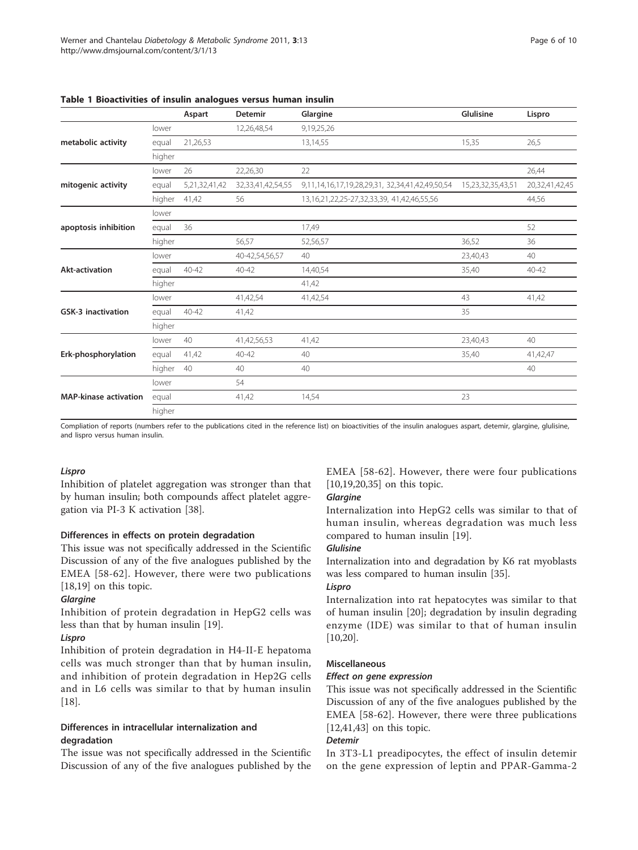|                              |        | Aspart        | Detemir           | Glargine                                                | Glulisine         | Lispro         |
|------------------------------|--------|---------------|-------------------|---------------------------------------------------------|-------------------|----------------|
|                              | lower  |               | 12,26,48,54       | 9,19,25,26                                              |                   |                |
| metabolic activity           | equal  | 21,26,53      |                   | 13,14,55                                                | 15,35             | 26,5           |
|                              | higher |               |                   |                                                         |                   |                |
|                              | lower  | 26            | 22,26,30          | 22                                                      |                   | 26,44          |
| mitogenic activity           | equal  | 5,21,32,41,42 | 32,33,41,42,54,55 | 9,11,14,16,17,19,28,29,31, 32,34,41,42,49,50,54         | 15,23,32,35,43,51 | 20,32,41,42,45 |
|                              | higher | 41,42         | 56                | 13, 16, 21, 22, 25 - 27, 32, 33, 39, 41, 42, 46, 55, 56 |                   | 44,56          |
|                              | lower  |               |                   |                                                         |                   |                |
| apoptosis inhibition         | equal  | 36            |                   | 17,49                                                   |                   | 52             |
|                              | higher |               | 56,57             | 52,56,57                                                | 36,52             | 36             |
|                              | lower  |               | 40-42,54,56,57    | 40                                                      | 23,40,43          | 40             |
| <b>Akt-activation</b>        | equal  | $40 - 42$     | $40 - 42$         | 14,40,54                                                | 35,40             | $40 - 42$      |
|                              | higher |               |                   | 41,42                                                   |                   |                |
|                              | lower  |               | 41,42,54          | 41,42,54                                                | 43                | 41,42          |
| <b>GSK-3 inactivation</b>    | equal  | $40 - 42$     | 41,42             |                                                         | 35                |                |
|                              | higher |               |                   |                                                         |                   |                |
|                              | lower  | 40            | 41,42,56,53       | 41,42                                                   | 23,40,43          | 40             |
| Erk-phosphorylation          | equal  | 41,42         | $40 - 42$         | 40                                                      | 35,40             | 41,42,47       |
|                              | higher | 40            | 40                | 40                                                      |                   | 40             |
|                              | lower  |               | 54                |                                                         |                   |                |
| <b>MAP-kinase activation</b> | equal  |               | 41,42             | 14,54                                                   | 23                |                |
|                              | higher |               |                   |                                                         |                   |                |

<span id="page-5-0"></span>Table 1 Bioactivities of insulin analogues versus human insulin

Compliation of reports (numbers refer to the publications cited in the reference list) on bioactivities of the insulin analogues aspart, detemir, glargine, glulisine, and lispro versus human insulin.

Inhibition of platelet aggregation was stronger than that by human insulin; both compounds affect platelet aggregation via PI-3 K activation [[38\]](#page-8-0).

### Differences in effects on protein degradation

This issue was not specifically addressed in the Scientific Discussion of any of the five analogues published by the EMEA [[58-62](#page-9-0)]. However, there were two publications [[18,19\]](#page-8-0) on this topic.

Inhibition of protein degradation in HepG2 cells was less than that by human insulin [\[19](#page-8-0)].

------<br>Inhibition of protein degradation in H4-II-E hepatoma cells was much stronger than that by human insulin, and inhibition of protein degradation in Hep2G cells and in L6 cells was similar to that by human insulin [[18\]](#page-8-0).

# Differences in intracellular internalization and degradation

The issue was not specifically addressed in the Scientific Discussion of any of the five analogues published by the EMEA [\[58-62\]](#page-9-0). However, there were four publications [[10,19,20](#page-8-0),[35](#page-8-0)] on this topic.

Internalization into HepG2 cells was similar to that of human insulin, whereas degradation was much less compared to human insulin [\[19](#page-8-0)].

Internalization into and degradation by K6 rat myoblasts was less compared to human insulin [\[35](#page-8-0)].

Internalization into rat hepatocytes was similar to that of human insulin [[20\]](#page-8-0); degradation by insulin degrading enzyme (IDE) was similar to that of human insulin [[10,20\]](#page-8-0).

### Miscellaneous

This issue was not specifically addressed in the Scientific Discussion of any of the five analogues published by the EMEA [[58-62\]](#page-9-0). However, there were three publications [[12,41,43](#page-8-0)] on this topic.

In 3T3-L1 preadipocytes, the effect of insulin detemir on the gene expression of leptin and PPAR-Gamma-2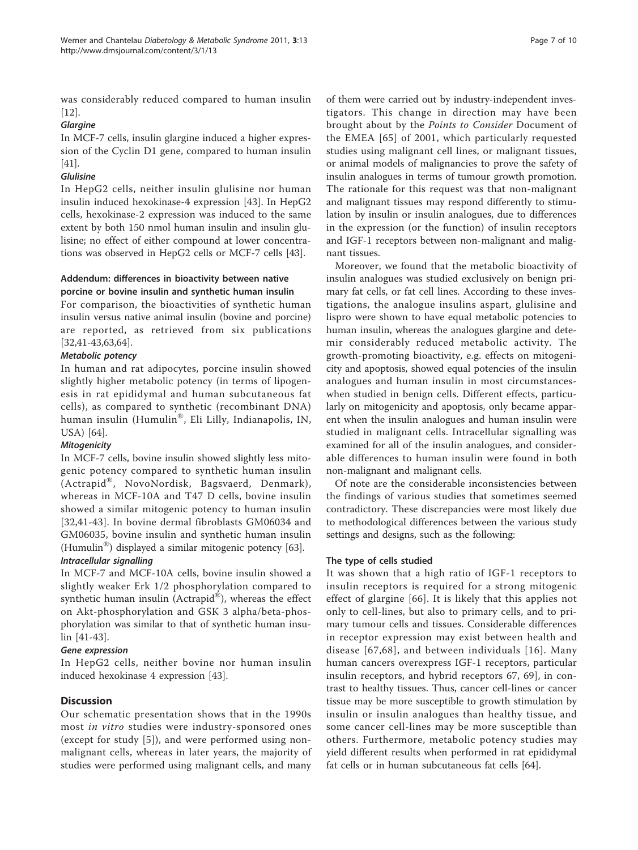was considerably reduced compared to human insulin [[12\]](#page-8-0).

In MCF-7 cells, insulin glargine induced a higher expression of the Cyclin D1 gene, compared to human insulin [[41](#page-8-0)].

In HepG2 cells, neither insulin glulisine nor human insulin induced hexokinase-4 expression [[43](#page-8-0)]. In HepG2 cells, hexokinase-2 expression was induced to the same extent by both 150 nmol human insulin and insulin glulisine; no effect of either compound at lower concentrations was observed in HepG2 cells or MCF-7 cells [\[43](#page-8-0)].

### Addendum: differences in bioactivity between native porcine or bovine insulin and synthetic human insulin

For comparison, the bioactivities of synthetic human insulin versus native animal insulin (bovine and porcine) are reported, as retrieved from six publications [[32,41-43,](#page-8-0)[63,64\]](#page-9-0).

In human and rat adipocytes, porcine insulin showed slightly higher metabolic potency (in terms of lipogenesis in rat epididymal and human subcutaneous fat cells), as compared to synthetic (recombinant DNA) human insulin (Humulin®, Eli Lilly, Indianapolis, IN, USA) [\[64](#page-9-0)].

In MCF-7 cells, bovine insulin showed slightly less mitogenic potency compared to synthetic human insulin (Actrapid®, NovoNordisk, Bagsvaerd, Denmark), whereas in MCF-10A and T47 D cells, bovine insulin showed a similar mitogenic potency to human insulin [[32,41-43](#page-8-0)]. In bovine dermal fibroblasts GM06034 and GM06035, bovine insulin and synthetic human insulin (Humulin®) displayed a similar mitogenic potency [[63](#page-9-0)].

In MCF-7 and MCF-10A cells, bovine insulin showed a slightly weaker Erk 1/2 phosphorylation compared to synthetic human insulin (Actrapid $^{\circledR}$ ), whereas the effect on Akt-phosphorylation and GSK 3 alpha/beta-phosphorylation was similar to that of synthetic human insulin [[41](#page-8-0)-[43\]](#page-8-0).

Gene expression In HepG2 cells, neither bovine nor human insulin induced hexokinase 4 expression [[43\]](#page-8-0).

### **Discussion**

Our schematic presentation shows that in the 1990s most in vitro studies were industry-sponsored ones (except for study [\[5](#page-7-0)]), and were performed using nonmalignant cells, whereas in later years, the majority of studies were performed using malignant cells, and many

of them were carried out by industry-independent investigators. This change in direction may have been brought about by the Points to Consider Document of the EMEA [\[65\]](#page-9-0) of 2001, which particularly requested studies using malignant cell lines, or malignant tissues, or animal models of malignancies to prove the safety of insulin analogues in terms of tumour growth promotion. The rationale for this request was that non-malignant and malignant tissues may respond differently to stimulation by insulin or insulin analogues, due to differences in the expression (or the function) of insulin receptors and IGF-1 receptors between non-malignant and malignant tissues.

Moreover, we found that the metabolic bioactivity of insulin analogues was studied exclusively on benign primary fat cells, or fat cell lines. According to these investigations, the analogue insulins aspart, glulisine and lispro were shown to have equal metabolic potencies to human insulin, whereas the analogues glargine and detemir considerably reduced metabolic activity. The growth-promoting bioactivity, e.g. effects on mitogenicity and apoptosis, showed equal potencies of the insulin analogues and human insulin in most circumstanceswhen studied in benign cells. Different effects, particularly on mitogenicity and apoptosis, only became apparent when the insulin analogues and human insulin were studied in malignant cells. Intracellular signalling was examined for all of the insulin analogues, and considerable differences to human insulin were found in both non-malignant and malignant cells.

Of note are the considerable inconsistencies between the findings of various studies that sometimes seemed contradictory. These discrepancies were most likely due to methodological differences between the various study settings and designs, such as the following:

### The type of cells studied

It was shown that a high ratio of IGF-1 receptors to insulin receptors is required for a strong mitogenic effect of glargine [[66](#page-9-0)]. It is likely that this applies not only to cell-lines, but also to primary cells, and to primary tumour cells and tissues. Considerable differences in receptor expression may exist between health and disease [[67](#page-9-0),[68](#page-9-0)], and between individuals [[16](#page-8-0)]. Many human cancers overexpress IGF-1 receptors, particular insulin receptors, and hybrid receptors 67, 69], in contrast to healthy tissues. Thus, cancer cell-lines or cancer tissue may be more susceptible to growth stimulation by insulin or insulin analogues than healthy tissue, and some cancer cell-lines may be more susceptible than others. Furthermore, metabolic potency studies may yield different results when performed in rat epididymal fat cells or in human subcutaneous fat cells [\[64\]](#page-9-0).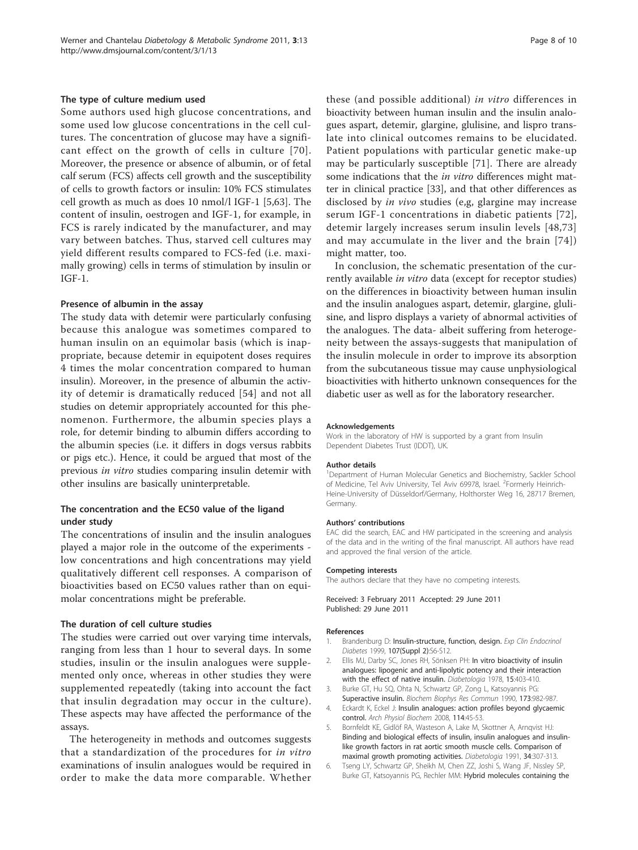### <span id="page-7-0"></span>The type of culture medium used

Some authors used high glucose concentrations, and some used low glucose concentrations in the cell cultures. The concentration of glucose may have a significant effect on the growth of cells in culture [[70\]](#page-9-0). Moreover, the presence or absence of albumin, or of fetal calf serum (FCS) affects cell growth and the susceptibility of cells to growth factors or insulin: 10% FCS stimulates cell growth as much as does 10 nmol/l IGF-1 [5[,63\]](#page-9-0). The content of insulin, oestrogen and IGF-1, for example, in FCS is rarely indicated by the manufacturer, and may vary between batches. Thus, starved cell cultures may yield different results compared to FCS-fed (i.e. maximally growing) cells in terms of stimulation by insulin or IGF-1.

### Presence of albumin in the assay

The study data with detemir were particularly confusing because this analogue was sometimes compared to human insulin on an equimolar basis (which is inappropriate, because detemir in equipotent doses requires 4 times the molar concentration compared to human insulin). Moreover, in the presence of albumin the activity of detemir is dramatically reduced [[54\]](#page-9-0) and not all studies on detemir appropriately accounted for this phenomenon. Furthermore, the albumin species plays a role, for detemir binding to albumin differs according to the albumin species (i.e. it differs in dogs versus rabbits or pigs etc.). Hence, it could be argued that most of the previous in vitro studies comparing insulin detemir with other insulins are basically uninterpretable.

### The concentration and the EC50 value of the ligand under study

The concentrations of insulin and the insulin analogues played a major role in the outcome of the experiments low concentrations and high concentrations may yield qualitatively different cell responses. A comparison of bioactivities based on EC50 values rather than on equimolar concentrations might be preferable.

### The duration of cell culture studies

The studies were carried out over varying time intervals, ranging from less than 1 hour to several days. In some studies, insulin or the insulin analogues were supplemented only once, whereas in other studies they were supplemented repeatedly (taking into account the fact that insulin degradation may occur in the culture). These aspects may have affected the performance of the assays.

The heterogeneity in methods and outcomes suggests that a standardization of the procedures for in vitro examinations of insulin analogues would be required in order to make the data more comparable. Whether

these (and possible additional) in vitro differences in bioactivity between human insulin and the insulin analogues aspart, detemir, glargine, glulisine, and lispro translate into clinical outcomes remains to be elucidated. Patient populations with particular genetic make-up may be particularly susceptible [[71](#page-9-0)]. There are already some indications that the *in vitro* differences might matter in clinical practice [[33\]](#page-8-0), and that other differences as disclosed by *in vivo* studies (e,g, glargine may increase serum IGF-1 concentrations in diabetic patients [[72\]](#page-9-0), detemir largely increases serum insulin levels [[48,](#page-8-0)[73](#page-9-0)] and may accumulate in the liver and the brain [[74\]](#page-9-0))

In conclusion, the schematic presentation of the currently available in vitro data (except for receptor studies) on the differences in bioactivity between human insulin and the insulin analogues aspart, detemir, glargine, glulisine, and lispro displays a variety of abnormal activities of the analogues. The data- albeit suffering from heterogeneity between the assays-suggests that manipulation of the insulin molecule in order to improve its absorption from the subcutaneous tissue may cause unphysiological bioactivities with hitherto unknown consequences for the diabetic user as well as for the laboratory researcher.

### Acknowledgements

might matter, too.

Work in the laboratory of HW is supported by a grant from Insulin Dependent Diabetes Trust (IDDT), UK.

### Author details

<sup>1</sup>Department of Human Molecular Genetics and Biochemistry, Sackler School of Medicine, Tel Aviv University, Tel Aviv 69978, Israel. <sup>2</sup>Formerly Heinrich-Heine-University of Düsseldorf/Germany, Holthorster Weg 16, 28717 Bremen, Germany.

### Authors' contributions

EAC did the search, EAC and HW participated in the screening and analysis of the data and in the writing of the final manuscript. All authors have read and approved the final version of the article.

### Competing interests

The authors declare that they have no competing interests.

Received: 3 February 2011 Accepted: 29 June 2011 Published: 29 June 2011

### References

- 1. Brandenburg D: Insulin-structure, function, design. Exp Clin Endocrinol Diabetes 1999, 107(Suppl 2):S6-S12.
- 2. Ellis MJ, Darby SC, Jones RH, Sönksen PH: [In vitro bioactivity of insulin](http://www.ncbi.nlm.nih.gov/pubmed/738550?dopt=Abstract) [analogues: lipogenic and anti-lipolytic potency and their interaction](http://www.ncbi.nlm.nih.gov/pubmed/738550?dopt=Abstract) [with the effect of native insulin.](http://www.ncbi.nlm.nih.gov/pubmed/738550?dopt=Abstract) Diabetologia 1978, 15:403-410.
- 3. Burke GT, Hu SQ, Ohta N, Schwartz GP, Zong L, Katsoyannis PG: [Superactive insulin.](http://www.ncbi.nlm.nih.gov/pubmed/2268358?dopt=Abstract) Biochem Biophys Res Commun 1990, 173:982-987.
- 4. Eckardt K, Eckel J: [Insulin analogues: action profiles beyond glycaemic](http://www.ncbi.nlm.nih.gov/pubmed/18465358?dopt=Abstract) [control.](http://www.ncbi.nlm.nih.gov/pubmed/18465358?dopt=Abstract) Arch Physiol Biochem 2008, 114:45-53.
- 5. Bornfeldt KE, Gidlöf RA, Wasteson A, Lake M, Skottner A, Arnqvist HJ: [Binding and biological effects of insulin, insulin analogues and insulin](http://www.ncbi.nlm.nih.gov/pubmed/1713869?dopt=Abstract)[like growth factors in rat aortic smooth muscle cells. Comparison of](http://www.ncbi.nlm.nih.gov/pubmed/1713869?dopt=Abstract) [maximal growth promoting activities.](http://www.ncbi.nlm.nih.gov/pubmed/1713869?dopt=Abstract) Diabetologia 1991, 34:307-313.
- 6. Tseng LY, Schwartz GP, Sheikh M, Chen ZZ, Joshi S, Wang JF, Nissley SP, Burke GT, Katsoyannis PG, Rechler MM: [Hybrid molecules containing the](http://www.ncbi.nlm.nih.gov/pubmed/2447882?dopt=Abstract)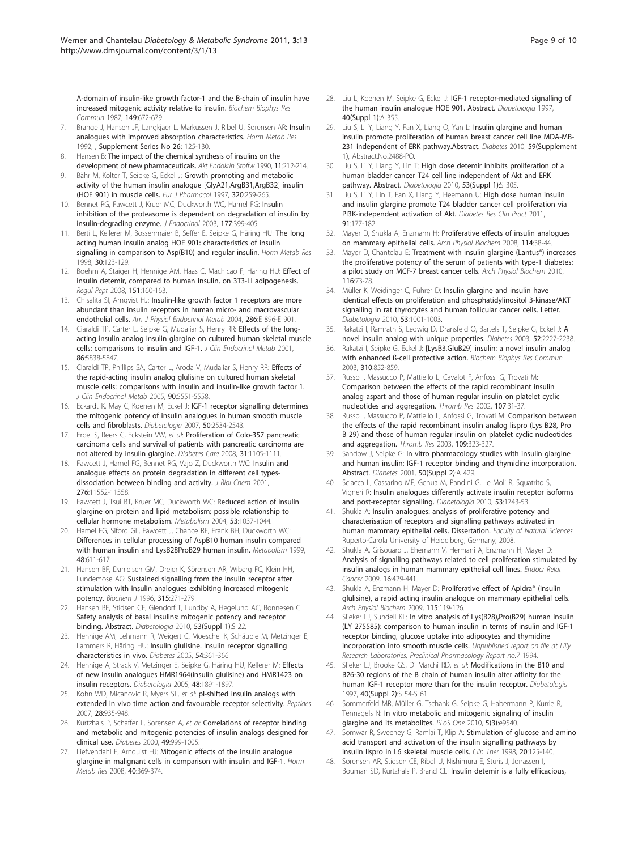<span id="page-8-0"></span>[A-domain of insulin-like growth factor-1 and the B-chain of insulin have](http://www.ncbi.nlm.nih.gov/pubmed/2447882?dopt=Abstract) [increased mitogenic activity relative to insulin.](http://www.ncbi.nlm.nih.gov/pubmed/2447882?dopt=Abstract) Biochem Biophys Res Commun 1987, 149:672-679.

- 7. Brange J, Hansen JF, Langkjaer L, Markussen J, Ribel U, Sorensen AR: Insulin analogues with improved absorption characteristics. Horm Metab Res 1992, , Supplement Series No 26: 125-130.
- 8. Hansen B: The impact of the chemical synthesis of insulins on the development of new pharmaceuticals. Akt Endokrin Stoffw 1990, 11:212-214.
- Bähr M, Kolter T, Seipke G, Eckel J: [Growth promoting and metabolic](http://www.ncbi.nlm.nih.gov/pubmed/9059862?dopt=Abstract) [activity of the human insulin analogue \[GlyA21,ArgB31,ArgB32\] insulin](http://www.ncbi.nlm.nih.gov/pubmed/9059862?dopt=Abstract) [\(HOE 901\) in muscle cells.](http://www.ncbi.nlm.nih.gov/pubmed/9059862?dopt=Abstract) Eur J Pharmacol 1997, 320:259-265.
- 10. Bennet RG, Fawcett J, Kruer MC, Duckworth WC, Hamel FG: [Insulin](http://www.ncbi.nlm.nih.gov/pubmed/12773120?dopt=Abstract) [inhibition of the proteasome is dependent on degradation of insulin by](http://www.ncbi.nlm.nih.gov/pubmed/12773120?dopt=Abstract) [insulin-degrading enzyme.](http://www.ncbi.nlm.nih.gov/pubmed/12773120?dopt=Abstract) J Endocrinol 2003, 177:399-405.
- 11. Berti L, Kellerer M, Bossenmaier B, Seffer E, Seipke G, Häring HU: [The long](http://www.ncbi.nlm.nih.gov/pubmed/9566852?dopt=Abstract) [acting human insulin analog HOE 901: characteristics of insulin](http://www.ncbi.nlm.nih.gov/pubmed/9566852?dopt=Abstract) [signalling in comparison to Asp\(B10\) and regular insulin.](http://www.ncbi.nlm.nih.gov/pubmed/9566852?dopt=Abstract) Horm Metab Res 1998, 30:123-129.
- 12. Boehm A, Staiger H, Hennige AM, Haas C, Machicao F, Häring HU: [Effect of](http://www.ncbi.nlm.nih.gov/pubmed/18571747?dopt=Abstract) [insulin detemir, compared to human insulin, on 3T3-LI adipogenesis.](http://www.ncbi.nlm.nih.gov/pubmed/18571747?dopt=Abstract) Regul Pept 2008, 151:160-163.
- 13. Chisalita SI, Arnqvist HJ: Insulin-like growth factor 1 receptors are more abundant than insulin receptors in human micro- and macrovascular endothelial cells. Am J Physiol Endocrinol Metab 2004, 286:E 896-E 901.
- 14. Ciaraldi TP, Carter L, Seipke G, Mudaliar S, Henry RR: [Effects of the long](http://www.ncbi.nlm.nih.gov/pubmed/11739448?dopt=Abstract)[acting insulin analog insulin glargine on cultured human skeletal muscle](http://www.ncbi.nlm.nih.gov/pubmed/11739448?dopt=Abstract) [cells: comparisons to insulin and IGF-1.](http://www.ncbi.nlm.nih.gov/pubmed/11739448?dopt=Abstract) J Clin Endocrinol Metab 2001, 86:5838-5847.
- 15. Ciaraldi TP, Phillips SA, Carter L, Aroda V, Mudaliar S, Henry RR: [Effects of](http://www.ncbi.nlm.nih.gov/pubmed/16030168?dopt=Abstract) [the rapid-acting insulin analog glulisine on cultured human skeletal](http://www.ncbi.nlm.nih.gov/pubmed/16030168?dopt=Abstract) [muscle cells: comparisons with insulin and insulin-like growth factor 1.](http://www.ncbi.nlm.nih.gov/pubmed/16030168?dopt=Abstract) J Clin Endocrinol Metab 2005, 90:5551-5558.
- 16. Eckardt K, May C, Koenen M, Eckel J: [IGF-1 receptor signalling determines](http://www.ncbi.nlm.nih.gov/pubmed/17898992?dopt=Abstract) [the mitogenic potency of insulin analogues in human smooth muscle](http://www.ncbi.nlm.nih.gov/pubmed/17898992?dopt=Abstract) [cells and fibroblasts.](http://www.ncbi.nlm.nih.gov/pubmed/17898992?dopt=Abstract) Diabetologia 2007, 50:2534-2543.
- 17. Erbel S, Reers C, Eckstein VW, et al: [Proliferation of Colo-357 pancreatic](http://www.ncbi.nlm.nih.gov/pubmed/18316392?dopt=Abstract) [carcinoma cells and survival of patients with pancreatic carcinoma are](http://www.ncbi.nlm.nih.gov/pubmed/18316392?dopt=Abstract) [not altered by insulin glargine.](http://www.ncbi.nlm.nih.gov/pubmed/18316392?dopt=Abstract) Diabetes Care 2008, 31:1105-1111.
- 18. Fawcett J, Hamel FG, Bennet RG, Vajo Z, Duckworth WC: [Insulin and](http://www.ncbi.nlm.nih.gov/pubmed/11116143?dopt=Abstract) [analogue effects on protein degradation in different cell types](http://www.ncbi.nlm.nih.gov/pubmed/11116143?dopt=Abstract)[dissociation between binding and activity.](http://www.ncbi.nlm.nih.gov/pubmed/11116143?dopt=Abstract) J Biol Chem 2001, 276:11552-11558.
- 19. Fawcett J, Tsui BT, Kruer MC, Duckworth WC: [Reduced action of insulin](http://www.ncbi.nlm.nih.gov/pubmed/15281015?dopt=Abstract) [glargine on protein and lipid metabolism: possible relationship to](http://www.ncbi.nlm.nih.gov/pubmed/15281015?dopt=Abstract) [cellular hormone metabolism.](http://www.ncbi.nlm.nih.gov/pubmed/15281015?dopt=Abstract) Metabolism 2004, 53:1037-1044.
- 20. Hamel FG, Siford GL, Fawcett J, Chance RE, Frank BH, Duckworth WC: [Differences in cellular processing of AspB10 human insulin compared](http://www.ncbi.nlm.nih.gov/pubmed/10337862?dopt=Abstract) [with human insulin and LysB28ProB29 human insulin.](http://www.ncbi.nlm.nih.gov/pubmed/10337862?dopt=Abstract) Metabolism 1999, 48:611-617.
- 21. Hansen BF, Danielsen GM, Drejer K, Sörensen AR, Wiberg FC, Klein HH, Lundemose AG: [Sustained signalling from the insulin receptor after](http://www.ncbi.nlm.nih.gov/pubmed/8670118?dopt=Abstract) [stimulation with insulin analogues exhibiting increased mitogenic](http://www.ncbi.nlm.nih.gov/pubmed/8670118?dopt=Abstract) [potency.](http://www.ncbi.nlm.nih.gov/pubmed/8670118?dopt=Abstract) Biochem J 1996, 315:271-279.
- 22. Hansen BF, Stidsen CE, Glendorf T, Lundby A, Hegelund AC, Bonnesen C: Safety analysis of basal insulins: mitogenic potency and receptor binding. Abstract. Diabetologia 2010, 53(Suppl 1):S 22.
- 23. Hennige AM, Lehmann R, Weigert C, Moeschel K, Schäuble M, Metzinger E, Lammers R, Häring HU: [Insulin glulisine. Insulin receptor signalling](http://www.ncbi.nlm.nih.gov/pubmed/15677493?dopt=Abstract) [characteristics in vivo.](http://www.ncbi.nlm.nih.gov/pubmed/15677493?dopt=Abstract) Diabetes 2005, 54:361-366.
- 24. Hennige A, Strack V, Metzinger E, Seipke G, Häring HU, Kellerer M: [Effects](http://www.ncbi.nlm.nih.gov/pubmed/16052329?dopt=Abstract) [of new insulin analogues HMR1964\(insulin glulisine\) and HMR1423 on](http://www.ncbi.nlm.nih.gov/pubmed/16052329?dopt=Abstract) [insulin receptors.](http://www.ncbi.nlm.nih.gov/pubmed/16052329?dopt=Abstract) Diabetologia 2005, 48:1891-1897.
- 25. Kohn WD, Micanovic R, Myers SL, et al: pl-shifted insulin analogs with [extended in vivo time action and favourable receptor selectivity.](http://www.ncbi.nlm.nih.gov/pubmed/17328992?dopt=Abstract) Peptides 2007, 28:935-948.
- 26. Kurtzhals P, Schaffer L, Sorensen A, et al: [Correlations of receptor binding](http://www.ncbi.nlm.nih.gov/pubmed/10866053?dopt=Abstract) [and metabolic and mitogenic potencies of insulin analogs designed for](http://www.ncbi.nlm.nih.gov/pubmed/10866053?dopt=Abstract) [clinical use.](http://www.ncbi.nlm.nih.gov/pubmed/10866053?dopt=Abstract) Diabetes 2000, 49:999-1005.
- 27. Liefvendahl E, Arnquist HJ: [Mitogenic effects of the insulin analogue](http://www.ncbi.nlm.nih.gov/pubmed/18393172?dopt=Abstract) [glargine in malignant cells in comparison with insulin and IGF-1.](http://www.ncbi.nlm.nih.gov/pubmed/18393172?dopt=Abstract) Horm Metab Res 2008, 40:369-374.
- 28. Liu L, Koenen M, Seipke G, Eckel J: IGF-1 receptor-mediated signalling of the human insulin analogue HOE 901. Abstract. Diabetologia 1997, 40(Suppl 1):A 355.
- 29. Liu S, Li Y, Liang Y, Fan X, Liang Q, Yan L: Insulin glargine and human insulin promote proliferation of human breast cancer cell line MDA-MB-231 independent of ERK pathway.Abstract. Diabetes 2010, 59(Supplement 1), Abstract.No.2488-PO.
- 30. Liu S, Li Y, Liang Y, Lin T: High dose detemir inhibits proliferation of a human bladder cancer T24 cell line independent of Akt and ERK pathway. Abstract. Diabetologia 2010, 53(Suppl 1):S 305.
- 31. Liu S, Li Y, Lin T, Fan X, Liang Y, Heemann U: [High dose human insulin](http://www.ncbi.nlm.nih.gov/pubmed/21129803?dopt=Abstract) [and insulin glargine promote T24 bladder cancer cell proliferation via](http://www.ncbi.nlm.nih.gov/pubmed/21129803?dopt=Abstract) [PI3K-independent activation of Akt.](http://www.ncbi.nlm.nih.gov/pubmed/21129803?dopt=Abstract) Diabetes Res Clin Pract 2011, 91:177-182.
- 32. Mayer D, Shukla A, Enzmann H: [Proliferative effects of insulin analogues](http://www.ncbi.nlm.nih.gov/pubmed/18465357?dopt=Abstract) [on mammary epithelial cells.](http://www.ncbi.nlm.nih.gov/pubmed/18465357?dopt=Abstract) Arch Physiol Biochem 2008, 114:38-44.
- 33. Mayer D, Chantelau E: [Treatment with insulin glargine \(Lantus®\) increases](http://www.ncbi.nlm.nih.gov/pubmed/20199195?dopt=Abstract) the [proliferative potency of the serum of patients with type-1 diabetes:](http://www.ncbi.nlm.nih.gov/pubmed/20199195?dopt=Abstract) [a pilot study on MCF-7 breast cancer cells.](http://www.ncbi.nlm.nih.gov/pubmed/20199195?dopt=Abstract) Arch Physiol Biochem 2010, 116:73-78.
- 34. Müller K, Weidinger C, Führer D: [Insulin glargine and insulin have](http://www.ncbi.nlm.nih.gov/pubmed/20179899?dopt=Abstract) [identical effects on proliferation and phosphatidylinositol 3-kinase/AKT](http://www.ncbi.nlm.nih.gov/pubmed/20179899?dopt=Abstract) [signalling in rat thyrocytes and human follicular cancer cells. Letter.](http://www.ncbi.nlm.nih.gov/pubmed/20179899?dopt=Abstract) Diabetologia 2010, 53:1001-1003.
- 35. Rakatzi I, Ramrath S, Ledwig D, Dransfeld O, Bartels T, Seipke G, Eckel J: [A](http://www.ncbi.nlm.nih.gov/pubmed/12941761?dopt=Abstract) [novel insulin analog with unique properties.](http://www.ncbi.nlm.nih.gov/pubmed/12941761?dopt=Abstract) Diabetes 2003, 52:2227-2238.
- Rakatzi I, Seipke G, Eckel J: [\[LysB3,GluB29\] insulin: a novel insulin analog](http://www.ncbi.nlm.nih.gov/pubmed/14550282?dopt=Abstract) with enhanced B-cell protective action. Biochem Biophys Res Commun 2003, 310:852-859.
- 37. Russo I, Massucco P, Mattiello L, Cavalot F, Anfossi G, Trovati M: [Comparison between the effects of the rapid recombinant insulin](http://www.ncbi.nlm.nih.gov/pubmed/12413586?dopt=Abstract) [analog aspart and those of human regular insulin on platelet cyclic](http://www.ncbi.nlm.nih.gov/pubmed/12413586?dopt=Abstract) [nucleotides and aggregation.](http://www.ncbi.nlm.nih.gov/pubmed/12413586?dopt=Abstract) Thromb Res 2002, 107:31-37.
- 38. Russo I, Massucco P, Mattiello L, Anfossi G, Trovati M: [Comparison between](http://www.ncbi.nlm.nih.gov/pubmed/12818257?dopt=Abstract) [the effects of the rapid recombinant insulin analog lispro \(Lys B28, Pro](http://www.ncbi.nlm.nih.gov/pubmed/12818257?dopt=Abstract) [B 29\) and those of human regular insulin on platelet cyclic nucleotides](http://www.ncbi.nlm.nih.gov/pubmed/12818257?dopt=Abstract) [and aggregation.](http://www.ncbi.nlm.nih.gov/pubmed/12818257?dopt=Abstract) Thromb Res 2003, 109:323-327.
- 39. Sandow J, Seipke G: In vitro pharmacology studies with insulin glargine and human insulin: IGF-1 receptor binding and thymidine incorporation. Abstract. Diabetes 2001, 50(Suppl 2):A 429.
- 40. Sciacca L, Cassarino MF, Genua M, Pandini G, Le Moli R, Squatrito S, Vigneri R: [Insulin analogues differently activate insulin receptor isoforms](http://www.ncbi.nlm.nih.gov/pubmed/20424816?dopt=Abstract) [and post-receptor signalling.](http://www.ncbi.nlm.nih.gov/pubmed/20424816?dopt=Abstract) Diabetologia 2010, 53:1743-53.
- 41. Shukla A: Insulin analogues: analysis of proliferative potency and characterisation of receptors and signalling pathways activated in human mammary epithelial cells. Dissertation. Faculty of Natural Sciences Ruperto-Carola University of Heidelberg, Germany; 2008.
- 42. Shukla A, Grisouard J, Ehemann V, Hermani A, Enzmann H, Mayer D: [Analysis of signalling pathways related to cell proliferation stimulated by](http://www.ncbi.nlm.nih.gov/pubmed/19153208?dopt=Abstract) [insulin analogs in human mammary epithelial cell lines.](http://www.ncbi.nlm.nih.gov/pubmed/19153208?dopt=Abstract) Endocr Relat Cancer 2009, 16:429-441.
- 43. Shukla A, Enzmann H, Mayer D: [Proliferative effect of Apidra® \(insulin](http://www.ncbi.nlm.nih.gov/pubmed/19480564?dopt=Abstract) [glulisine\), a rapid acting insulin analogue on mammary epithelial cells.](http://www.ncbi.nlm.nih.gov/pubmed/19480564?dopt=Abstract) Arch Physiol Biochem 2009, 115:119-126.
- 44. Slieker LJ, Sundell KL: In vitro analysis of Lys(B28), Pro(B29) human insulin (LY 275585): comparison to human insulin in terms of insulin and IGF-1 receptor binding, glucose uptake into adipocytes and thymidine incorporation into smooth muscle cells. Unpublished report on file at Lilly Research Laboratories, Preclinical Pharmacology Report no.7 1994.
- 45. Slieker LJ, Brooke GS, Di Marchi RD, et al: Modifications in the B10 and B26-30 regions of the B chain of human insulin alter affinity for the human IGF-1 receptor more than for the insulin receptor. Diabetologia 1997, 40(Suppl 2):S 54-S 61.
- 46. Sommerfeld MR, Müller G, Tschank G, Seipke G, Habermann P, Kurrle R, Tennagels N: [In vitro metabolic and mitogenic signaling of insulin](http://www.ncbi.nlm.nih.gov/pubmed/20209060?dopt=Abstract) [glargine and its metabolites.](http://www.ncbi.nlm.nih.gov/pubmed/20209060?dopt=Abstract) PLoS One 2010, 5(3):e9540.
- 47. Somwar R, Sweeney G, Ramlai T, Klip A: [Stimulation of glucose and amino](http://www.ncbi.nlm.nih.gov/pubmed/9522110?dopt=Abstract) [acid transport and activation of the insulin signalling pathways by](http://www.ncbi.nlm.nih.gov/pubmed/9522110?dopt=Abstract) insulin [lispro in L6 skeletal muscle cells.](http://www.ncbi.nlm.nih.gov/pubmed/9522110?dopt=Abstract) Clin Ther 1998, 20:125-140.
- 48. Sorensen AR, Stidsen CE, Ribel U, Nishimura E, Sturis J, Jonassen I, Bouman SD, Kurtzhals P, Brand CL: [Insulin detemir is a fully efficacious,](http://www.ncbi.nlm.nih.gov/pubmed/20590743?dopt=Abstract)